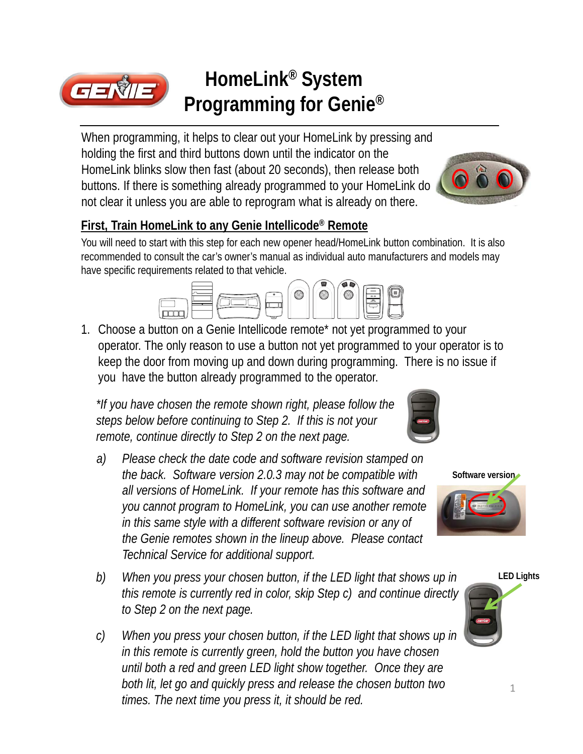

## **HomeLink® System Programming for Genie®**

When programming, it helps to clear out your HomeLink by pressing and holding the first and third buttons down until the indicator on the HomeLink blinks slow then fast (about 20 seconds), then release both buttons. If there is something already programmed to your HomeLink do not clear it unless you are able to reprogram what is already on there.



#### **First, Train HomeLink to any Genie Intellicode® Remote**

You will need to start with this step for each new opener head/HomeLink button combination. It is also recommended to consult the car's owner's manual as individual auto manufacturers and models may have specific requirements related to that vehicle.



1. Choose a button on a Genie Intellicode remote\* not yet programmed to your operator. The only reason to use a button not yet programmed to your operator is to keep the door from moving up and down during programming. There is no issue if you have the button already programmed to the operator.

*\*If you have chosen the remote shown right, please follow the steps below before continuing to Step 2. If this is not your remote, continue directly to Step 2 on the next page.*

- *a) Please check the date code and software revision stamped on the back. Software version 2.0.3 may not be compatible with all versions of HomeLink. If your remote has this software and you cannot program to HomeLink, you can use another remote in this same style with a different software revision or any of the Genie remotes shown in the lineup above. Please contact Technical Service for additional support.*
- *b) When you press your chosen button, if the LED light that shows up in this remote is currently red in color, skip Step c) and continue directly to Step 2 on the next page.*
- *c) When you press your chosen button, if the LED light that shows up in in this remote is currently green, hold the button you have chosen until both a red and green LED light show together. Once they are both lit, let go and quickly press and release the chosen button two times. The next time you press it, it should be red.*





**LED Lights**

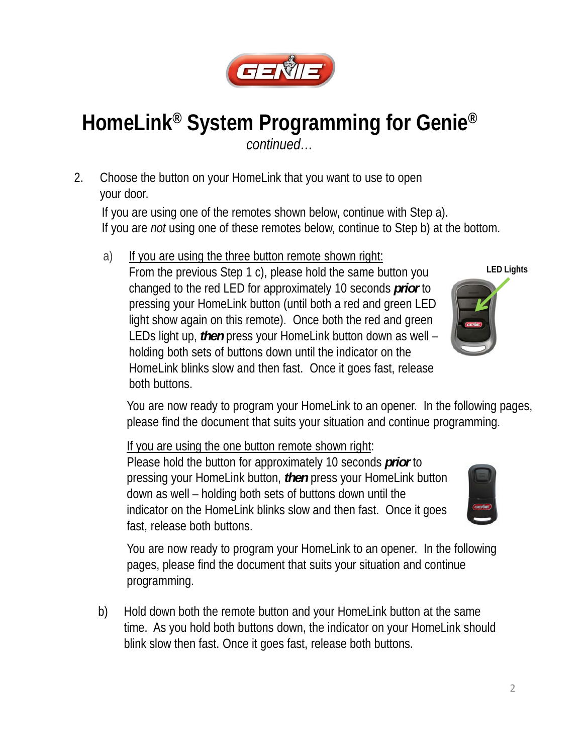

# **HomeLink® System Programming for Genie®**

*continued…*

2. Choose the button on your HomeLink that you want to use to open your door.

If you are using one of the remotes shown below, continue with Step a). If you are *not* using one of these remotes below, continue to Step b) at the bottom.

a) If you are using the three button remote shown right: From the previous Step 1 c), please hold the same button you changed to the red LED for approximately 10 seconds *prior* to pressing your HomeLink button (until both a red and green LED light show again on this remote). Once both the red and green LEDs light up, *then* press your HomeLink button down as well – holding both sets of buttons down until the indicator on the HomeLink blinks slow and then fast. Once it goes fast, release both buttons.

You are now ready to program your HomeLink to an opener. In the following pages, please find the document that suits your situation and continue programming.

If you are using the one button remote shown right:

Please hold the button for approximately 10 seconds *prior* to pressing your HomeLink button, *then* press your HomeLink button down as well – holding both sets of buttons down until the indicator on the HomeLink blinks slow and then fast. Once it goes fast, release both buttons.



You are now ready to program your HomeLink to an opener. In the following pages, please find the document that suits your situation and continue programming.

b) Hold down both the remote button and your HomeLink button at the same time. As you hold both buttons down, the indicator on your HomeLink should blink slow then fast. Once it goes fast, release both buttons.

**LED Lights**

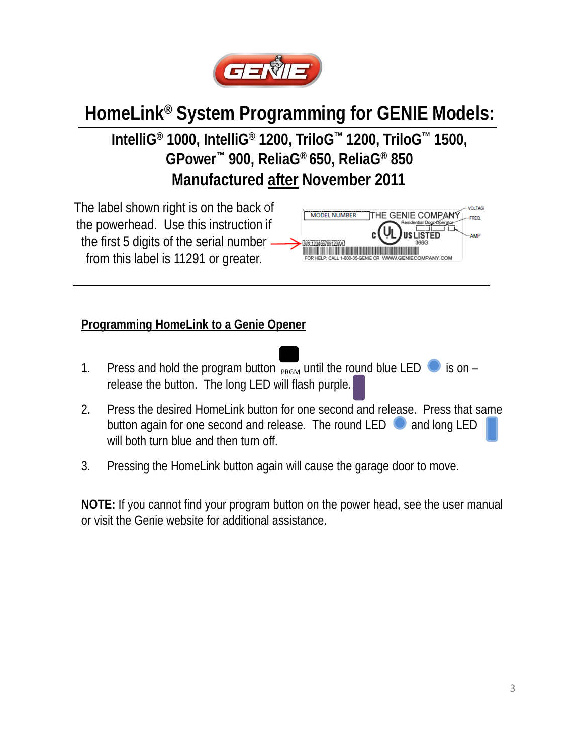

**IntelliG® 1000, IntelliG® 1200, TriloG™ 1200, TriloG™ 1500, GPower™ 900, ReliaG® 650, ReliaG® 850 Manufactured after November 2011**

The label shown right is on the back of the powerhead. Use this instruction if the first 5 digits of the serial number. from this label is 11291 or greater.



#### **Programming HomeLink to a Genie Opener**

- 1. Press and hold the program button  $\overline{P_{\text{RGM}}}$  until the round blue LED  $\bullet$  is on release the button. The long LED will flash purple.
- 2. Press the desired HomeLink button for one second and release. Press that same button again for one second and release. The round LED  $\Box$  and long LED will both turn blue and then turn off.
- 3. Pressing the HomeLink button again will cause the garage door to move.

**NOTE:** If you cannot find your program button on the power head, see the user manual or visit the Genie website for additional assistance.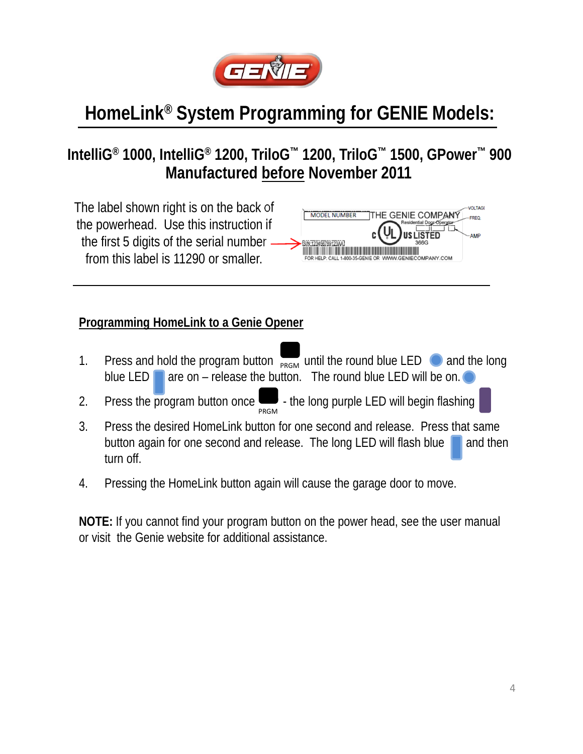

### **IntelliG® 1000, IntelliG® 1200, TriloG™ 1200, TriloG™ 1500, GPower™ 900 Manufactured before November 2011**



#### **Programming HomeLink to a Genie Opener**

- 1. Press and hold the program button  $\frac{1}{P_{\text{RGM}}}$  until the round blue LED  $\bigcirc$  and the long blue LED **are on** – release the button. The round blue LED will be on.
- 2. Press the program button once  $\Box$  the long purple LED will begin flashing PRGM
- 3. Press the desired HomeLink button for one second and release. Press that same button again for one second and release. The long LED will flash blue  $\Box$  and then turn off.
- 4. Pressing the HomeLink button again will cause the garage door to move.

**NOTE:** If you cannot find your program button on the power head, see the user manual or visit the Genie website for additional assistance.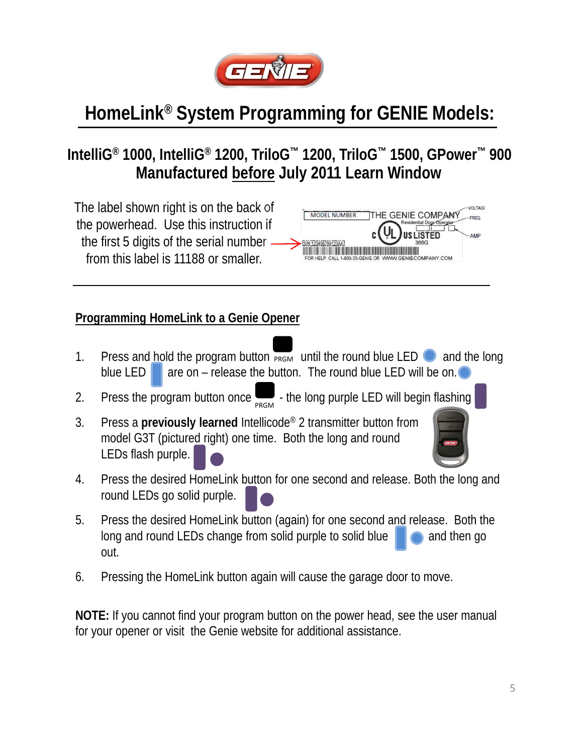

### **IntelliG® 1000, IntelliG® 1200, TriloG™ 1200, TriloG™ 1500, GPower™ 900 Manufactured before July 2011 Learn Window**

The label shown right is on the back of **VOLTAGE MODEL NUMBER** THE GENIE COMPANY the powerhead. Use this instruction if the first 5 digits of the serial number from this label is 11188 or smaller.

#### **Programming HomeLink to a Genie Opener**

- 1. Press and hold the program button  $\overline{PRGM}$  until the round blue LED and the long blue LED  $\Box$  are on – release the button. The round blue LED will be on.
- 2. Press the program button once  $\sum_{PRGM}$  the long purple LED will begin flashing
- 3. Press a **previously learned** Intellicode® 2 transmitter button from model G3T (pictured right) one time. Both the long and round LEDs flash purple.

| __      |  |
|---------|--|
|         |  |
| _<br>'n |  |
|         |  |
|         |  |

- 4. Press the desired HomeLink button for one second and release. Both the long and round LEDs go solid purple.
- 5. Press the desired HomeLink button (again) for one second and release. Both the long and round LEDs change from solid purple to solid blue  $\Box$  and then go out.
- 6. Pressing the HomeLink button again will cause the garage door to move.

**NOTE:** If you cannot find your program button on the power head, see the user manual for your opener or visit the Genie website for additional assistance.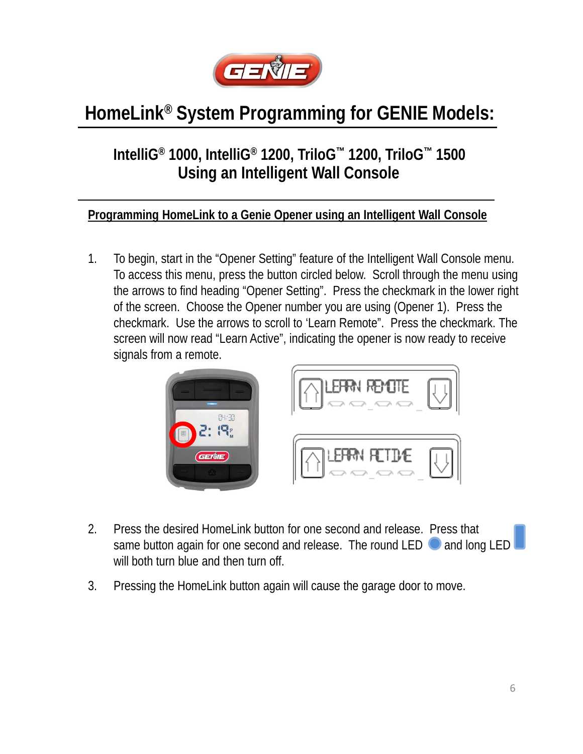

### **IntelliG® 1000, IntelliG® 1200, TriloG™ 1200, TriloG™ 1500 Using an Intelligent Wall Console**

#### **Programming HomeLink to a Genie Opener using an Intelligent Wall Console**

1. To begin, start in the "Opener Setting" feature of the Intelligent Wall Console menu. To access this menu, press the button circled below. Scroll through the menu using the arrows to find heading "Opener Setting". Press the checkmark in the lower right of the screen. Choose the Opener number you are using (Opener 1). Press the checkmark. Use the arrows to scroll to 'Learn Remote". Press the checkmark. The screen will now read "Learn Active", indicating the opener is now ready to receive signals from a remote.



- 2. Press the desired HomeLink button for one second and release. Press that same button again for one second and release. The round LED and long LED will both turn blue and then turn off.
- 3. Pressing the HomeLink button again will cause the garage door to move.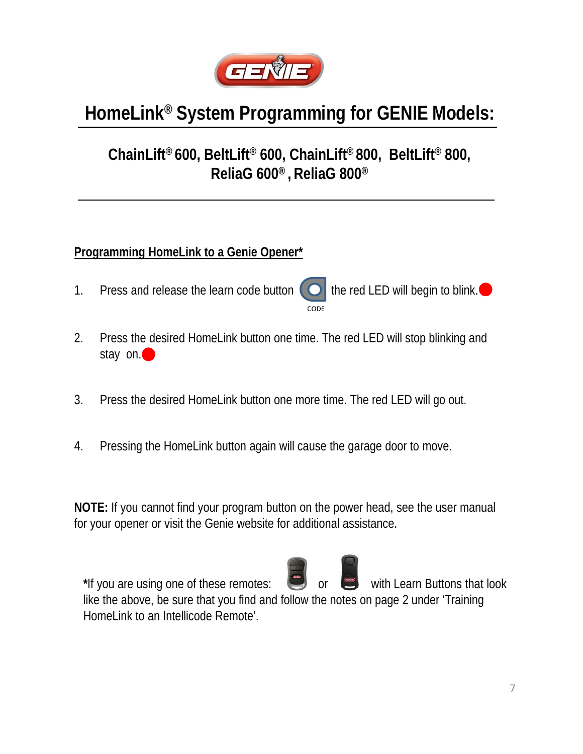

### **ChainLift® 600, BeltLift® 600, ChainLift® 800, BeltLift® 800, ReliaG 600® , ReliaG 800®**

#### **Programming HomeLink to a Genie Opener\***

- 1. Press and release the learn code button  $\bigcirc$  the red LED will begin to blink. CODE
- 2. Press the desired HomeLink button one time. The red LED will stop blinking and stay on.
- 3. Press the desired HomeLink button one more time. The red LED will go out.
- 4. Pressing the HomeLink button again will cause the garage door to move.

**NOTE:** If you cannot find your program button on the power head, see the user manual for your opener or visit the Genie website for additional assistance.